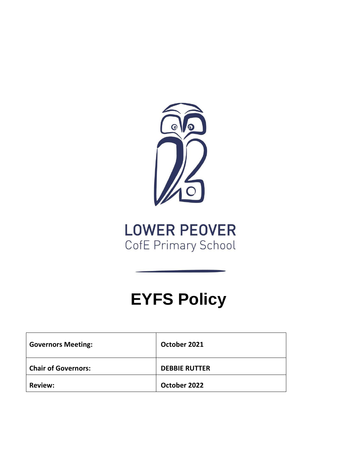

# **LOWER PEOVER** CofE Primary School

# **EYFS Policy**

| <b>Governors Meeting:</b>  | October 2021         |
|----------------------------|----------------------|
| <b>Chair of Governors:</b> | <b>DEBBIE RUTTER</b> |
| <b>Review:</b>             | October 2022         |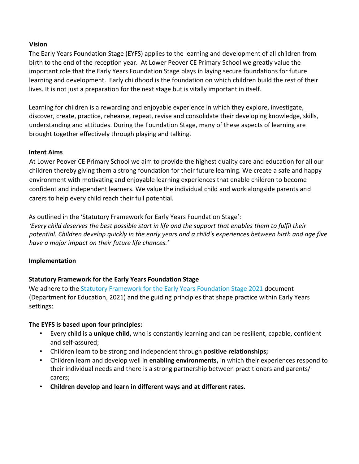#### **Vision**

The Early Years Foundation Stage (EYFS) applies to the learning and development of all children from birth to the end of the reception year. At Lower Peover CE Primary School we greatly value the important role that the Early Years Foundation Stage plays in laying secure foundations for future learning and development. Early childhood is the foundation on which children build the rest of their lives. It is not just a preparation for the next stage but is vitally important in itself.

Learning for children is a rewarding and enjoyable experience in which they explore, investigate, discover, create, practice, rehearse, repeat, revise and consolidate their developing knowledge, skills, understanding and attitudes. During the Foundation Stage, many of these aspects of learning are brought together effectively through playing and talking.

#### **Intent Aims**

At Lower Peover CE Primary School we aim to provide the highest quality care and education for all our children thereby giving them a strong foundation for their future learning. We create a safe and happy environment with motivating and enjoyable learning experiences that enable children to become confident and independent learners. We value the individual child and work alongside parents and carers to help every child reach their full potential.

As outlined in the 'Statutory Framework for Early Years Foundation Stage':

*'Every child deserves the best possible start in life and the support that enables them to fulfil their potential. Children develop quickly in the early years and a child's experiences between birth and age five have a major impact on their future life chances.'*

#### **Implementation**

#### **Statutory Framework for the Early Years Foundation Stage**

We adhere to th[e Statutory Framework for the Early Years Foundation Stage 2021](https://assets.publishing.service.gov.uk/government/uploads/system/uploads/attachment_data/file/974907/EYFS_framework_-_March_2021.pdf) document (Department for Education, 2021) and the guiding principles that shape practice within Early Years settings:

#### **The EYFS is based upon four principles:**

- Every child is a **unique child,** who is constantly learning and can be resilient, capable, confident and self-assured;
- Children learn to be strong and independent through **positive relationships;**
- Children learn and develop well in **enabling environments,** in which their experiences respond to their individual needs and there is a strong partnership between practitioners and parents/ carers;
- **Children develop and learn in different ways and at different rates.**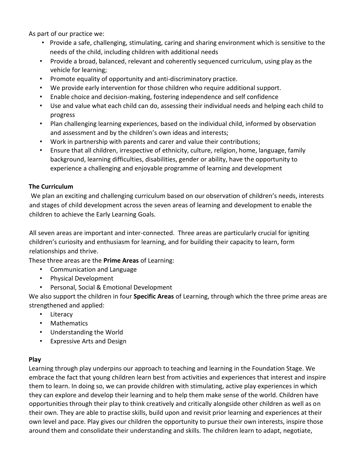As part of our practice we:

- Provide a safe, challenging, stimulating, caring and sharing environment which is sensitive to the needs of the child, including children with additional needs
- Provide a broad, balanced, relevant and coherently sequenced curriculum, using play as the vehicle for learning;
- Promote equality of opportunity and anti-discriminatory practice.
- We provide early intervention for those children who require additional support.
- Enable choice and decision-making, fostering independence and self confidence
- Use and value what each child can do, assessing their individual needs and helping each child to progress
- Plan challenging learning experiences, based on the individual child, informed by observation and assessment and by the children's own ideas and interests;
- Work in partnership with parents and carer and value their contributions;
- Ensure that all children, irrespective of ethnicity, culture, religion, home, language, family background, learning difficulties, disabilities, gender or ability, have the opportunity to experience a challenging and enjoyable programme of learning and development

#### **The Curriculum**

We plan an exciting and challenging curriculum based on our observation of children's needs, interests and stages of child development across the seven areas of learning and development to enable the children to achieve the Early Learning Goals.

All seven areas are important and inter-connected. Three areas are particularly crucial for igniting children's curiosity and enthusiasm for learning, and for building their capacity to learn, form relationships and thrive.

These three areas are the **Prime Areas** of Learning:

- Communication and Language
- Physical Development
- Personal, Social & Emotional Development

We also support the children in four **Specific Areas** of Learning, through which the three prime areas are strengthened and applied:

- Literacy
- Mathematics
- Understanding the World
- Expressive Arts and Design

#### **Play**

Learning through play underpins our approach to teaching and learning in the Foundation Stage. We embrace the fact that young children learn best from activities and experiences that interest and inspire them to learn. In doing so, we can provide children with stimulating, active play experiences in which they can explore and develop their learning and to help them make sense of the world. Children have opportunities through their play to think creatively and critically alongside other children as well as on their own. They are able to practise skills, build upon and revisit prior learning and experiences at their own level and pace. Play gives our children the opportunity to pursue their own interests, inspire those around them and consolidate their understanding and skills. The children learn to adapt, negotiate,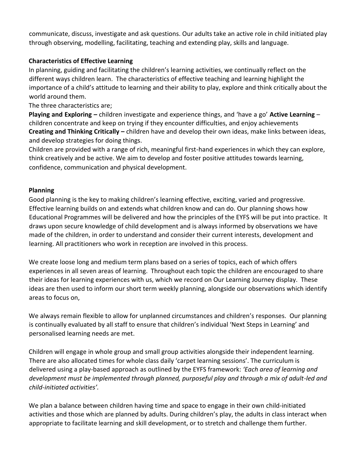communicate, discuss, investigate and ask questions. Our adults take an active role in child initiated play through observing, modelling, facilitating, teaching and extending play, skills and language.

### **Characteristics of Effective Learning**

In planning, guiding and facilitating the children's learning activities, we continually reflect on the different ways children learn. The characteristics of effective teaching and learning highlight the importance of a child's attitude to learning and their ability to play, explore and think critically about the world around them.

The three characteristics are;

**Playing and Exploring –** children investigate and experience things, and 'have a go' **Active Learning** – children concentrate and keep on trying if they encounter difficulties, and enjoy achievements **Creating and Thinking Critically –** children have and develop their own ideas, make links between ideas, and develop strategies for doing things.

Children are provided with a range of rich, meaningful first-hand experiences in which they can explore, think creatively and be active. We aim to develop and foster positive attitudes towards learning, confidence, communication and physical development.

#### **Planning**

Good planning is the key to making children's learning effective, exciting, varied and progressive. Effective learning builds on and extends what children know and can do. Our planning shows how Educational Programmes will be delivered and how the principles of the EYFS will be put into practice. It draws upon secure knowledge of child development and is always informed by observations we have made of the children, in order to understand and consider their current interests, development and learning. All practitioners who work in reception are involved in this process.

We create loose long and medium term plans based on a series of topics, each of which offers experiences in all seven areas of learning. Throughout each topic the children are encouraged to share their ideas for learning experiences with us, which we record on Our Learning Journey display. These ideas are then used to inform our short term weekly planning, alongside our observations which identify areas to focus on,

We always remain flexible to allow for unplanned circumstances and children's responses. Our planning is continually evaluated by all staff to ensure that children's individual 'Next Steps in Learning' and personalised learning needs are met.

Children will engage in whole group and small group activities alongside their independent learning. There are also allocated times for whole class daily 'carpet learning sessions'. The curriculum is delivered using a play-based approach as outlined by the EYFS framework: *'Each area of learning and development must be implemented through planned, purposeful play and through a mix of adult-led and child-initiated activities'.* 

We plan a balance between children having time and space to engage in their own child-initiated activities and those which are planned by adults. During children's play, the adults in class interact when appropriate to facilitate learning and skill development, or to stretch and challenge them further.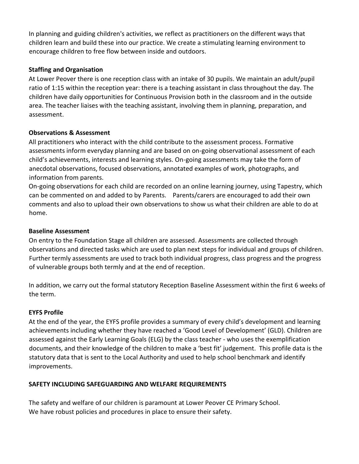In planning and guiding children's activities, we reflect as practitioners on the different ways that children learn and build these into our practice. We create a stimulating learning environment to encourage children to free flow between inside and outdoors.

#### **Staffing and Organisation**

At Lower Peover there is one reception class with an intake of 30 pupils. We maintain an adult/pupil ratio of 1:15 within the reception year: there is a teaching assistant in class throughout the day. The children have daily opportunities for Continuous Provision both in the classroom and in the outside area. The teacher liaises with the teaching assistant, involving them in planning, preparation, and assessment.

### **Observations & Assessment**

All practitioners who interact with the child contribute to the assessment process. Formative assessments inform everyday planning and are based on on-going observational assessment of each child's achievements, interests and learning styles. On-going assessments may take the form of anecdotal observations, focused observations, annotated examples of work, photographs, and information from parents.

On-going observations for each child are recorded on an online learning journey, using Tapestry, which can be commented on and added to by Parents. Parents/carers are encouraged to add their own comments and also to upload their own observations to show us what their children are able to do at home.

### **Baseline Assessment**

On entry to the Foundation Stage all children are assessed. Assessments are collected through observations and directed tasks which are used to plan next steps for individual and groups of children. Further termly assessments are used to track both individual progress, class progress and the progress of vulnerable groups both termly and at the end of reception.

In addition, we carry out the formal statutory Reception Baseline Assessment within the first 6 weeks of the term.

# **EYFS Profile**

At the end of the year, the EYFS profile provides a summary of every child's development and learning achievements including whether they have reached a 'Good Level of Development' (GLD). Children are assessed against the Early Learning Goals (ELG) by the class teacher - who uses the exemplification documents, and their knowledge of the children to make a 'best fit' judgement. This profile data is the statutory data that is sent to the Local Authority and used to help school benchmark and identify improvements.

# **SAFETY INCLUDING SAFEGUARDING AND WELFARE REQUIREMENTS**

The safety and welfare of our children is paramount at Lower Peover CE Primary School. We have robust policies and procedures in place to ensure their safety.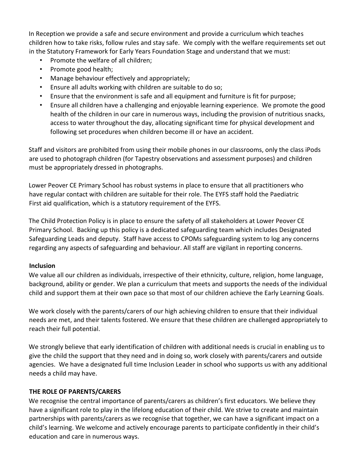In Reception we provide a safe and secure environment and provide a curriculum which teaches children how to take risks, follow rules and stay safe. We comply with the welfare requirements set out in the Statutory Framework for Early Years Foundation Stage and understand that we must:

- Promote the welfare of all children;
- Promote good health;
- Manage behaviour effectively and appropriately;
- Ensure all adults working with children are suitable to do so;
- Ensure that the environment is safe and all equipment and furniture is fit for purpose;
- Ensure all children have a challenging and enjoyable learning experience. We promote the good health of the children in our care in numerous ways, including the provision of nutritious snacks, access to water throughout the day, allocating significant time for physical development and following set procedures when children become ill or have an accident.

Staff and visitors are prohibited from using their mobile phones in our classrooms, only the class iPods are used to photograph children (for Tapestry observations and assessment purposes) and children must be appropriately dressed in photographs.

Lower Peover CE Primary School has robust systems in place to ensure that all practitioners who have regular contact with children are suitable for their role. The EYFS staff hold the Paediatric First aid qualification, which is a statutory requirement of the EYFS.

The Child Protection Policy is in place to ensure the safety of all stakeholders at Lower Peover CE Primary School. Backing up this policy is a dedicated safeguarding team which includes Designated Safeguarding Leads and deputy. Staff have access to CPOMs safeguarding system to log any concerns regarding any aspects of safeguarding and behaviour. All staff are vigilant in reporting concerns.

# **Inclusion**

We value all our children as individuals, irrespective of their ethnicity, culture, religion, home language, background, ability or gender. We plan a curriculum that meets and supports the needs of the individual child and support them at their own pace so that most of our children achieve the Early Learning Goals.

We work closely with the parents/carers of our high achieving children to ensure that their individual needs are met, and their talents fostered. We ensure that these children are challenged appropriately to reach their full potential.

We strongly believe that early identification of children with additional needs is crucial in enabling us to give the child the support that they need and in doing so, work closely with parents/carers and outside agencies. We have a designated full time Inclusion Leader in school who supports us with any additional needs a child may have.

# **THE ROLE OF PARENTS/CARERS**

We recognise the central importance of parents/carers as children's first educators. We believe they have a significant role to play in the lifelong education of their child. We strive to create and maintain partnerships with parents/carers as we recognise that together, we can have a significant impact on a child's learning. We welcome and actively encourage parents to participate confidently in their child's education and care in numerous ways.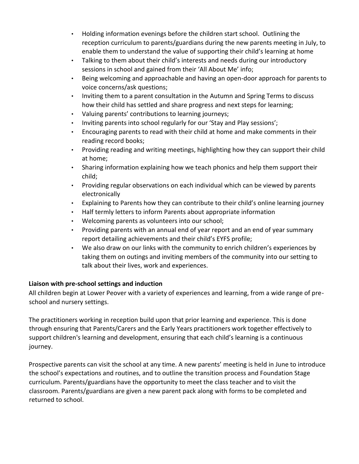- Holding information evenings before the children start school. Outlining the reception curriculum to parents/guardians during the new parents meeting in July, to enable them to understand the value of supporting their child's learning at home
- Talking to them about their child's interests and needs during our introductory sessions in school and gained from their 'All About Me' info;
- Being welcoming and approachable and having an open-door approach for parents to voice concerns/ask questions;
- Inviting them to a parent consultation in the Autumn and Spring Terms to discuss how their child has settled and share progress and next steps for learning;
- Valuing parents' contributions to learning journeys;
- Inviting parents into school regularly for our 'Stay and Play sessions';
- Encouraging parents to read with their child at home and make comments in their reading record books;
- Providing reading and writing meetings, highlighting how they can support their child at home;
- Sharing information explaining how we teach phonics and help them support their child;
- Providing regular observations on each individual which can be viewed by parents electronically
- Explaining to Parents how they can contribute to their child's online learning journey
- Half termly letters to inform Parents about appropriate information
- Welcoming parents as volunteers into our school;
- Providing parents with an annual end of year report and an end of year summary report detailing achievements and their child's EYFS profile;
- We also draw on our links with the community to enrich children's experiences by taking them on outings and inviting members of the community into our setting to talk about their lives, work and experiences.

# **Liaison with pre-school settings and induction**

All children begin at Lower Peover with a variety of experiences and learning, from a wide range of preschool and nursery settings.

The practitioners working in reception build upon that prior learning and experience. This is done through ensuring that Parents/Carers and the Early Years practitioners work together effectively to support children's learning and development, ensuring that each child's learning is a continuous journey.

Prospective parents can visit the school at any time. A new parents' meeting is held in June to introduce the school's expectations and routines, and to outline the transition process and Foundation Stage curriculum. Parents/guardians have the opportunity to meet the class teacher and to visit the classroom. Parents/guardians are given a new parent pack along with forms to be completed and returned to school.